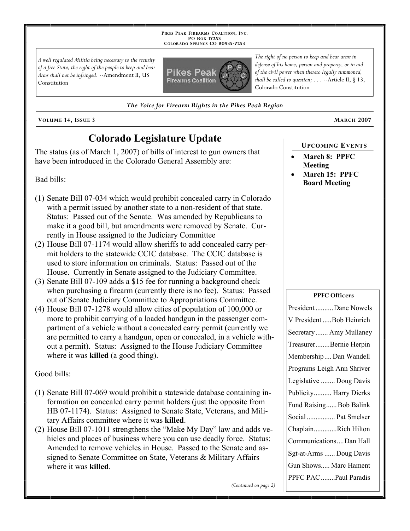**PIKES PEAK FIREARMS COALITION, INC. PO BOX 17253 COLORADO SPRINGS CO 80935 -7253**

*A well regulated Militia being necessary to the security of a free State, the right of the people to keep and bear Arms shall not be infringed.* --Amendment II, US Constitution



*The Voice for Firearm Rights in the Pikes Peak Region*

# **Colorado Legislature Update**

The status (as of March 1, 2007) of bills of interest to gun owners that have been introduced in the Colorado General Assembly are:

Bad bills:

- (1) Senate Bill 07-034 which would prohibit concealed carry in Colorado with a permit issued by another state to a non-resident of that state. Status: Passed out of the Senate. Was amended by Republicans to make it a good bill, but amendments were removed by Senate. Currently in House assigned to the Judiciary Committee
- (2) House Bill 07-1174 would allow sheriffs to add concealed carry permit holders to the statewide CCIC database. The CCIC database is used to store information on criminals. Status: Passed out of the House. Currently in Senate assigned to the Judiciary Committee.
- (3) Senate Bill 07-109 adds a \$15 fee for running a background check when purchasing a firearm (currently there is no fee). Status: Passed out of Senate Judiciary Committee to Appropriations Committee.
- (4) House Bill 07-1278 would allow cities of population of 100,000 or more to prohibit carrying of a loaded handgun in the passenger compartment of a vehicle without a concealed carry permit (currently we are permitted to carry a handgun, open or concealed, in a vehicle without a permit). Status: Assigned to the House Judiciary Committee where it was **killed** (a good thing).

Good bills:

- (1) Senate Bill 07-069 would prohibit a statewide database containing information on concealed carry permit holders (just the opposite from HB 07-1174). Status: Assigned to Senate State, Veterans, and Military Affairs committee where it was **killed**.
- (2) House Bill 07-1011 strengthens the "Make My Day" law and adds vehicles and places of business where you can use deadly force. Status: Amended to remove vehicles in House. Passed to the Senate and assigned to Senate Committee on State, Veterans & Military Affairs where it was **killed**.

*(Continued on page 2)*

*The right of no person to keep and bear arms in defense of his home, person and property, or in aid of the civil power when thereto legally summoned, shall be called to question; . . .* --Article II, § 13, Colorado Constitution

**UPCOMING EVENTS**

- **March 8: PPFC Meeting**
- **March 15: PPFC Board Meeting**

#### **PPFC Officers**

| President Dane Nowels      |
|----------------------------|
| V President Bob Heinrich   |
| Secretary Amy Mullaney     |
| TreasurerBernie Herpin     |
| Membership Dan Wandell     |
| Programs Leigh Ann Shriver |
| Legislative  Doug Davis    |
| Publicity Harry Dierks     |
| Fund Raising Bob Balink    |
| Social  Pat Smelser        |
| ChaplainRich Hilton        |
| CommunicationsDan Hall     |
| Sgt-at-Arms  Doug Davis    |
| Gun Shows Marc Hament      |
| PPFC PAC  Paul Paradis     |